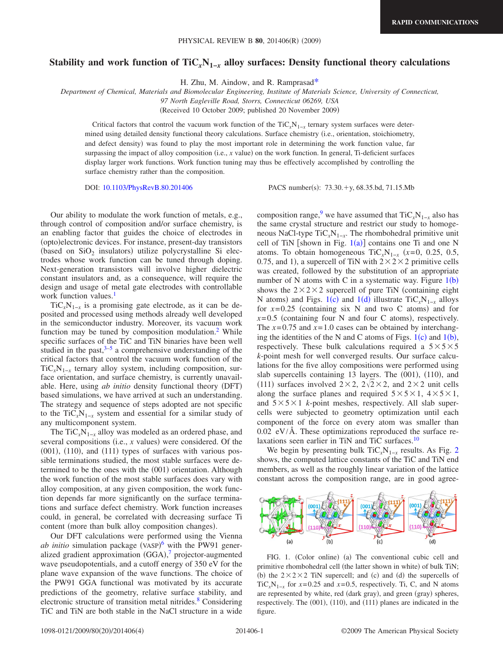## **Stability and work function of TiC***x***N1−***<sup>x</sup>* **alloy surfaces: Density functional theory calculations**

H. Zhu, M. Aindow, and R. Ramprasa[d\\*](#page-3-0)

*Department of Chemical, Materials and Biomolecular Engineering, Institute of Materials Science, University of Connecticut,*

*97 North Eagleville Road, Storrs, Connecticut 06269, USA*

(Received 10 October 2009; published 20 November 2009)

Critical factors that control the vacuum work function of the TiC<sub>*x*N<sub>1−*x*</sub> ternary system surfaces were deter-</sub> mined using detailed density functional theory calculations. Surface chemistry i.e., orientation, stoichiometry, and defect density) was found to play the most important role in determining the work function value, far surpassing the impact of alloy composition (i.e., *x* value) on the work function. In general, Ti-deficient surfaces display larger work functions. Work function tuning may thus be effectively accomplished by controlling the surface chemistry rather than the composition.

DOI: [10.1103/PhysRevB.80.201406](http://dx.doi.org/10.1103/PhysRevB.80.201406)

PACS number(s):  $73.30.+y, 68.35.bd, 71.15.Mb$ 

Our ability to modulate the work function of metals, e.g., through control of composition and/or surface chemistry, is an enabling factor that guides the choice of electrodes in (opto)electronic devices. For instance, present-day transistors (based on  $SiO<sub>2</sub>$  insulators) utilize polycrystalline Si electrodes whose work function can be tuned through doping. Next-generation transistors will involve higher dielectric constant insulators and, as a consequence, will require the design and usage of metal gate electrodes with controllable work function values.<sup>1</sup>

 $TiC<sub>x</sub>N<sub>1-x</sub>$  is a promising gate electrode, as it can be deposited and processed using methods already well developed in the semiconductor industry. Moreover, its vacuum work function may be tuned by composition modulation. $<sup>2</sup>$  While</sup> specific surfaces of the TiC and TiN binaries have been well studied in the past, $3-5$  a comprehensive understanding of the critical factors that control the vacuum work function of the  $TiC<sub>x</sub>N<sub>1-x</sub>$  ternary alloy system, including composition, surface orientation, and surface chemistry, is currently unavailable. Here, using *ab initio* density functional theory (DFT) based simulations, we have arrived at such an understanding. The strategy and sequence of steps adopted are not specific to the TiC<sub>*x*</sub>N<sub>1−*x*</sub> system and essential for a similar study of any multicomponent system.

The TiC<sub>*x*</sub>N<sub>1−*x*</sub> alloy was modeled as an ordered phase, and several compositions (i.e.,  $x$  values) were considered. Of the  $(001)$ ,  $(110)$ , and  $(111)$  types of surfaces with various possible terminations studied, the most stable surfaces were determined to be the ones with the (001) orientation. Although the work function of the most stable surfaces does vary with alloy composition, at any given composition, the work function depends far more significantly on the surface terminations and surface defect chemistry. Work function increases could, in general, be correlated with decreasing surface Ti content (more than bulk alloy composition changes).

Our DFT calculations were performed using the Vienna ab initio simulation package (VASP)<sup>[6](#page-3-5)</sup> with the PW91 gener-alized gradient approximation (GGA),<sup>[7](#page-3-6)</sup> projector-augmented wave pseudopotentials, and a cutoff energy of 350 eV for the plane wave expansion of the wave functions. The choice of the PW91 GGA functional was motivated by its accurate predictions of the geometry, relative surface stability, and electronic structure of transition metal nitrides.<sup>8</sup> Considering TiC and TiN are both stable in the NaCl structure in a wide

composition range,<sup>9</sup> we have assumed that  $TiC_xN_{1-x}$  also has the same crystal structure and restrict our study to homogeneous NaCl-type  $\text{TiC}_x\text{N}_{1-x}$ . The rhombohedral primitive unit cell of TiN [shown in Fig.  $1(a)$  $1(a)$ ] contains one Ti and one N atoms. To obtain homogeneous TiC<sub>*x*</sub>N<sub>1−*x*</sub> ( $x=0$ , 0.25, 0.5, 0.75, and 1), a supercell of TiN with  $2 \times 2 \times 2$  primitive cells was created, followed by the substitution of an appropriate number of N atoms with C in a systematic way. Figure  $1(b)$  $1(b)$ shows the  $2 \times 2 \times 2$  supercell of pure TiN (containing eight N atoms) and Figs. [1](#page-0-0)(c) and 1(d) illustrate  $\text{TiC}_x\text{N}_{1-x}$  alloys for  $x=0.25$  (containing six N and two C atoms) and for  $x=0.5$  (containing four N and four C atoms), respectively. The  $x=0.75$  and  $x=1.0$  cases can be obtained by interchanging the identities of the N and C atoms of Figs.  $1(c)$  $1(c)$  and  $1(b)$ , respectively. These bulk calculations required a  $5 \times 5 \times 5$ *k*-point mesh for well converged results. Our surface calculations for the five alloy compositions were performed using slab supercells containing 13 layers. The (001), (110), and (111) surfaces involved  $2 \times 2$ ,  $2\sqrt{2} \times 2$ , and  $2 \times 2$  unit cells along the surface planes and required  $5 \times 5 \times 1$ ,  $4 \times 5 \times 1$ , and  $5 \times 5 \times 1$  *k*-point meshes, respectively. All slab supercells were subjected to geometry optimization until each component of the force on every atom was smaller than  $0.02$  eV/Å. These optimizations reproduced the surface relaxations seen earlier in TiN and TiC surfaces.<sup>10</sup>

We begin by presenting bulk  $TiC_xN_{1-x}$  results. As Fig. [2](#page-1-0) shows, the computed lattice constants of the TiC and TiN end members, as well as the roughly linear variation of the lattice constant across the composition range, are in good agree-

<span id="page-0-0"></span>

FIG. 1. (Color online) (a) The conventional cubic cell and primitive rhombohedral cell (the latter shown in white) of bulk TiN; (b) the  $2 \times 2 \times 2$  TiN supercell; and (c) and (d) the supercells of TiC<sub>*x*N<sub>1−*x*</sub> for *x*=0.25 and *x*=0.5, respectively. Ti, C, and N atoms</sub> are represented by white, red (dark gray), and green (gray) spheres, respectively. The (001), (110), and (111) planes are indicated in the figure.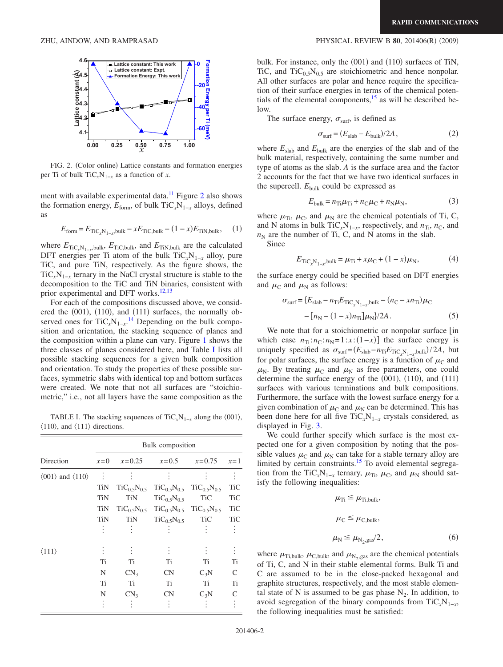

FIG. 2. (Color online) Lattice constants and formation energies per Ti of bulk TiC<sub>*x*</sub>N<sub>1−*x*</sub> as a function of *x*.

ment with available experimental data.<sup>11</sup> Figure [2](#page-1-0) also shows the formation energy,  $E_{form}$ , of bulk  $TiC_xN_{1-x}$  alloys, defined as

$$
E_{\text{form}} = E_{\text{TiC}_x N_{1-x}, \text{bulk}} - x E_{\text{TiC}, \text{bulk}} - (1 - x) E_{\text{TiN}, \text{bulk}}, \quad (1)
$$

where  $E_{\text{TiC}_x\text{N}_{1-x}$ ,bulk,  $E_{\text{TiC},\text{bulk}}$ , and  $E_{\text{TiN},\text{bulk}}$  are the calculated DFT energies per Ti atom of the bulk  $\text{TiC}_x\text{N}_{1-x}$  alloy, pure TiC, and pure TiN, respectively. As the figure shows, the  $TiC<sub>x</sub>N<sub>1-x</sub>$  ternary in the NaCl crystal structure is stable to the decomposition to the TiC and TiN binaries, consistent with prior experimental and DFT works.<sup>12[,13](#page-3-12)</sup>

For each of the compositions discussed above, we considered the  $(001)$ ,  $(110)$ , and  $(111)$  surfaces, the normally observed ones for  $TiC_xN_{1-x}$ <sup>[14](#page-3-13)</sup> Depending on the bulk composition and orientation, the stacking sequence of planes and the composition within a plane can vary. Figure [1](#page-0-0) shows the three classes of planes considered here, and Table [I](#page-1-1) lists all possible stacking sequences for a given bulk composition and orientation. To study the properties of these possible surfaces, symmetric slabs with identical top and bottom surfaces were created. We note that not all surfaces are "stoichiometric," i.e., not all layers have the same composition as the

<span id="page-1-1"></span>TABLE I. The stacking sequences of TiC<sub>*x*</sub>N<sub>1−*x*</sub> along the  $\langle 001 \rangle$ ,  $\langle 110 \rangle$ , and  $\langle 111 \rangle$  directions.

|                                                 | Bulk composition |                    |                    |                                       |               |
|-------------------------------------------------|------------------|--------------------|--------------------|---------------------------------------|---------------|
| Direction                                       | $x=0$            | $x=0.25$           | $x = 0.5$          | $x=0.75$                              | $x=1$         |
| $\langle 001 \rangle$ and $\langle 110 \rangle$ | $\bullet$        |                    |                    |                                       | ÷             |
|                                                 | TiN              | $TiC_{0.5}N_{0.5}$ | $TiC_{0.5}N_{0.5}$ | $TiC_{0.5}N_{0.5}$                    | <b>TiC</b>    |
|                                                 | <b>TiN</b>       | <b>TiN</b>         | $TiC_{0.5}N_{0.5}$ | <b>TiC</b>                            | TiC           |
|                                                 | TiN              | $TiC_{0.5}N_{0.5}$ |                    | $TiC_{0.5}N_{0.5}$ $TiC_{0.5}N_{0.5}$ | <b>TiC</b>    |
|                                                 | <b>TiN</b>       | TiN                | $TiC_{0.5}N_{0.5}$ | <b>TiC</b>                            | <b>TiC</b>    |
|                                                 |                  |                    |                    |                                       |               |
| $\langle 111 \rangle$                           |                  |                    |                    |                                       | $\vdots$      |
|                                                 | Ti               | Ti                 | Ti                 | Ti                                    | Ti            |
|                                                 | N                | CN <sub>3</sub>    | CN                 | $C_3N$                                | $\mathcal{C}$ |
|                                                 | Ti               | Ti                 | Ti                 | Ti                                    | Ti            |
|                                                 | N                | CN <sub>3</sub>    | <b>CN</b>          | $C_3N$                                | C             |
|                                                 |                  |                    |                    |                                       |               |

## <span id="page-1-0"></span>ZHU, AINDOW, AND RAMPRASAD **PHYSICAL REVIEW B 80**, 201406(R) (2009)

bulk. For instance, only the (001) and (110) surfaces of TiN, TiC, and  $TiC_{0.5}N_{0.5}$  are stoichiometric and hence nonpolar. All other surfaces are polar and hence require the specification of their surface energies in terms of the chemical potentials of the elemental components,  $15$  as will be described below.

The surface energy,  $\sigma_{\text{surf}}$ , is defined as

$$
\sigma_{\text{surf}} = (E_{\text{slab}} - E_{\text{bulk}})/2A, \qquad (2)
$$

where  $E_{\text{slab}}$  and  $E_{\text{bulk}}$  are the energies of the slab and of the bulk material, respectively, containing the same number and type of atoms as the slab. *A* is the surface area and the factor 2 accounts for the fact that we have two identical surfaces in the supercell.  $E_{\text{bulk}}$  could be expressed as

$$
E_{\text{bulk}} = n_{\text{Ti}}\mu_{\text{Ti}} + n_{\text{C}}\mu_{\text{C}} + n_{\text{N}}\mu_{\text{N}},\tag{3}
$$

where  $\mu_{Ti}$ ,  $\mu_{C}$ , and  $\mu_{N}$  are the chemical potentials of Ti, C, and N atoms in bulk  $TiC<sub>x</sub>N<sub>1−x</sub>$ , respectively, and  $n<sub>Ti</sub>$ ,  $n<sub>C</sub>$ , and  $n_N$  are the number of Ti, C, and N atoms in the slab.

<span id="page-1-2"></span>Since

$$
E_{\rm TiC}_x N_{1-x}^{\text{bulk}} = \mu_{\rm Ti} + x\mu_{\rm C} + (1-x)\mu_{\rm N},\tag{4}
$$

the surface energy could be specified based on DFT energies and  $\mu_{\rm C}$  and  $\mu_{\rm N}$  as follows:

$$
\sigma_{\text{surf}} = \{E_{\text{slab}} - n_{\text{Ti}} E_{\text{TiC}_x N_{1-x}, \text{bulk}} - (n_{\text{C}} - x n_{\text{Ti}}) \mu_{\text{C}} - [n_{\text{N}} - (1 - x) n_{\text{Ti}}] \mu_{\text{N}}\} / 2A. \tag{5}
$$

We note that for a stoichiometric or nonpolar surface  $\lceil$  in which case  $n_{\text{Ti}}$ : $n_{\text{C}}$ : $n_{\text{N}}$ =1:*x*:(1−*x*)] the surface energy is uniquely specified as  $\sigma_{\text{surf}} = (E_{\text{slab}} - n_{\text{Ti}} E_{\text{TiC}_x N_{1-x}}) / 2A$ , but for polar surfaces, the surface energy is a function of  $\mu_{\rm C}$  and  $\mu_{\rm N}$ . By treating  $\mu_{\rm C}$  and  $\mu_{\rm N}$  as free parameters, one could determine the surface energy of the  $(001)$ ,  $(110)$ , and  $(111)$ surfaces with various terminations and bulk compositions. Furthermore, the surface with the lowest surface energy for a given combination of  $\mu$ <sup>C</sup> and  $\mu$ <sup>N</sup> can be determined. This has been done here for all five TiC<sub>*x*</sub>N<sub>1−*x*</sub> crystals considered, as displayed in Fig. [3.](#page-2-0)

We could further specify which surface is the most expected one for a given composition by noting that the possible values  $\mu_C$  and  $\mu_N$  can take for a stable ternary alloy are limited by certain constraints.<sup>15</sup> To avoid elemental segregation from the TiC<sub>*x*</sub>N<sub>1−*x*</sub> ternary,  $\mu_{Ti}$ ,  $\mu_{C}$ , and  $\mu_{N}$  should satisfy the following inequalities:

$$
\mu_{Ti} \leq \mu_{Ti,bulk},
$$
\n
$$
\mu_{C} \leq \mu_{C,bulk},
$$
\n
$$
\mu_{N} \leq \mu_{N_2,gas}/2,
$$
\n(6)

<span id="page-1-3"></span>where  $\mu_{\text{Ti,bulk}}, \mu_{\text{C,bulk}},$  and  $\mu_{\text{N}_2,\text{gas}}$  are the chemical potentials of Ti, C, and N in their stable elemental forms. Bulk Ti and C are assumed to be in the close-packed hexagonal and graphite structures, respectively, and the most stable elemental state of N is assumed to be gas phase  $N_2$ . In addition, to avoid segregation of the binary compounds from  $\text{TiC}_x\text{N}_{1-x}$ , the following inequalities must be satisfied: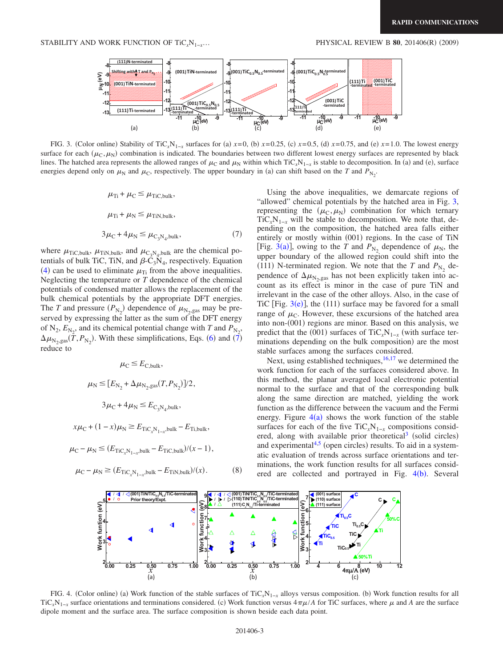<span id="page-2-0"></span>

<span id="page-2-1"></span>FIG. 3. (Color online) Stability of TiC<sub>*x*</sub>N<sub>1-*x*</sub> surfaces for (a)  $x=0$ , (b)  $x=0.25$ , (c)  $x=0.5$ , (d)  $x=0.75$ , and (e)  $x=1.0$ . The lowest energy surface for each  $(\mu_C, \mu_N)$  combination is indicated. The boundaries between two different lowest energy surfaces are represented by black lines. The hatched area represents the allowed ranges of  $\mu_C$  and  $\mu_N$  within which TiC<sub>*x*</sub>N<sub>1−*x*</sub> is stable to decomposition. In (a) and (e), surface energies depend only on  $\mu_N$  and  $\mu_C$ , respectively. The upper boundary in (a) can shift based on the *T* and  $P_{N_2}$ .

$$
\mu_{Ti} + \mu_C \le \mu_{TiC,bulk},
$$
  
\n
$$
\mu_{Ti} + \mu_N \le \mu_{TiN,bulk},
$$
  
\n
$$
3\mu_C + 4\mu_N \le \mu_{C_3N_4,bulk},
$$
\n(7)

where  $\mu_{\text{TiC},\text{bulk}}$ ,  $\mu_{\text{TiN},\text{bulk}}$ , and  $\mu_{\text{C}_3\text{N}_4,\text{bulk}}$  are the chemical potentials of bulk TiC, TiN, and  $\beta$ -C<sub>3</sub>N<sub>4</sub>, respectively. Equation ([4](#page-1-2)) can be used to eliminate  $\mu_{Ti}$  from the above inequalities. Neglecting the temperature or *T* dependence of the chemical potentials of condensed matter allows the replacement of the bulk chemical potentials by the appropriate DFT energies. The *T* and pressure  $(P_{N_2})$  dependence of  $\mu_{N_2,gas}$  may be preserved by expressing the latter as the sum of the DFT energy of  $N_2$ ,  $E_{N_2}$ , and its chemical potential change with *T* and  $P_{N_2}$ ,  $\Delta\mu_{\text{N}_2,\text{gas}}(\bar{T},P_{\text{N}_2})$ . With these simplifications, Eqs. ([6](#page-1-3)) and ([7](#page-2-1)) reduce to

$$
\mu_{\rm C} \le E_{\rm C,bulk},
$$
  

$$
\mu_{\rm N} \le [E_{\rm N_2} + \Delta \mu_{\rm N_2,gas}(T, P_{\rm N_2})]/2,
$$
  

$$
3\mu_{\rm C} + 4\mu_{\rm N} \le E_{\rm C_3N_4,bulk},
$$

 $x\mu_C + (1 - x)\mu_N \ge E_{\text{TiC}_xN_{1-x},\text{bulk}} - E_{\text{Ti,bulk}},$ 

$$
\mu_{\rm C} - \mu_{\rm N} \le (E_{\rm TiC_xN_{1-x}, bulk} - E_{\rm TiC, bulk})/(x - 1),
$$

<span id="page-2-2"></span>
$$
\mu_{\rm C} - \mu_{\rm N} \ge (E_{\rm TiC}_x N_{1-x} \text{bulk} - E_{\rm TiN, bulk})/(x). \tag{8}
$$

Using the above inequalities, we demarcate regions of "allowed" chemical potentials by the hatched area in Fig. [3,](#page-2-0) representing the  $(\mu_C, \mu_N)$  combination for which ternary  $TiC<sub>x</sub>N<sub>1-x</sub>$  will be stable to decomposition. We note that, depending on the composition, the hatched area falls either entirely or mostly within (001) regions. In the case of TiN [Fig. [3](#page-2-0)(a)], owing to the *T* and  $P_{N_2}$  dependence of  $\mu_N$ , the upper boundary of the allowed region could shift into the (111) N-terminated region. We note that the *T* and  $P_{N_2}$  dependence of  $\Delta\mu_{\text{N}_2, gas}$  has not been explicitly taken into account as its effect is minor in the case of pure TiN and irrelevant in the case of the other alloys. Also, in the case of TiC [Fig.  $3(e)$  $3(e)$ ], the (111) surface may be favored for a small range of  $\mu_{\rm C}$ . However, these excursions of the hatched area into non-(001) regions are minor. Based on this analysis, we predict that the (001) surfaces of TiC<sub>*x*</sub>N<sub>1−*x*</sub> (with surface terminations depending on the bulk composition) are the most stable surfaces among the surfaces considered.

Next, using established techniques,  $16,17$  $16,17$  we determined the work function for each of the surfaces considered above. In this method, the planar averaged local electronic potential normal to the surface and that of the corresponding bulk along the same direction are matched, yielding the work function as the difference between the vacuum and the Fermi energy. Figure  $4(a)$  $4(a)$  shows the work function of the stable surfaces for each of the five TiC<sub>*x*</sub>N<sub>1−*x*</sub> compositions considered, along with available prior theoretical<sup>3</sup> (solid circles) and experimental $4.5$  $4.5$  (open circles) results. To aid in a systematic evaluation of trends across surface orientations and terminations, the work function results for all surfaces considered are collected and portrayed in Fig.  $4(b)$  $4(b)$ . Several



FIG. 4. (Color online) (a) Work function of the stable surfaces of TiC<sub>*x*</sub>N<sub>1−*x*</sub> alloys versus composition. (b) Work function results for all TiC<sub>*x*</sub>N<sub>1−*x*</sub> surface orientations and terminations considered. (c) Work function versus  $4\pi\mu/A$  for TiC surfaces, where  $\mu$  and *A* are the surface dipole moment and the surface area. The surface composition is shown beside each data point.